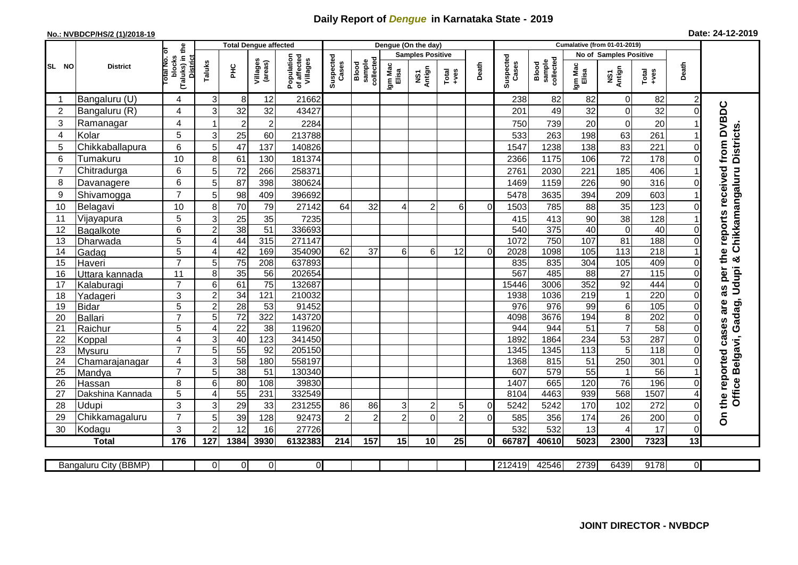## **Daily Report of** *Dengue* **in Karnataka State - 2019**

## **No.: NVBDCP/HS/2 (1)/2018-19**

|  |  | Date: 24-12-2019 |
|--|--|------------------|
|--|--|------------------|

|                |                       |                                                              |                 |                 | <b>Total Dengue affected</b> |                                       | Dengue (On the day) |                              |                  |                         |                 |          |                    | <b>Cumalative (from 01-01-2019)</b> |                  |                               |                   |                |                                        |  |
|----------------|-----------------------|--------------------------------------------------------------|-----------------|-----------------|------------------------------|---------------------------------------|---------------------|------------------------------|------------------|-------------------------|-----------------|----------|--------------------|-------------------------------------|------------------|-------------------------------|-------------------|----------------|----------------------------------------|--|
|                |                       |                                                              |                 |                 |                              |                                       |                     |                              |                  | <b>Samples Positive</b> |                 |          |                    |                                     |                  | <b>No of Samples Positive</b> |                   |                |                                        |  |
| SL NO          | <b>District</b>       | (Taluks) in the<br>lotal No. ol<br>blocks<br><b>District</b> | Taluks          | ĔБ              | Villages<br>(areas)          | Population<br>of affected<br>Villages | Suspected<br>Cases  | sample<br>collected<br>Blood | Igm Mac<br>Elisa | NS1<br>Antign           | Total<br>+ves   | Death    | Suspected<br>Cases | collected<br>sample<br>Blood        | Igm Mac<br>Elisa | NS1<br>Antign                 | Total<br>$+ve$ s  | Death          |                                        |  |
|                | Bangaluru (U)         | 4                                                            | 3               | 8               | 12                           | 21662                                 |                     |                              |                  |                         |                 |          | 238                | 82                                  | 82               | 0                             | 82                | $\overline{c}$ |                                        |  |
| $\overline{2}$ | Bangaluru (R)         | 4                                                            | 3               | 32              | 32                           | 43427                                 |                     |                              |                  |                         |                 |          | 201                | 49                                  | 32               | $\mathbf 0$                   | 32                | $\Omega$       |                                        |  |
| 3              | Ramanagar             | 4                                                            |                 | $\overline{c}$  | $\overline{\mathbf{c}}$      | 2284                                  |                     |                              |                  |                         |                 |          | 750                | 739                                 | 20               | $\boldsymbol{0}$              | 20                |                | as per the reports received from DVBDC |  |
| $\overline{4}$ | Kolar                 | 5                                                            | 3               | 25              | 60                           | 213788                                |                     |                              |                  |                         |                 |          | 533                | 263                                 | 198              | 63                            | 261               |                | <b>Districts</b>                       |  |
| 5              | Chikkaballapura       | 6                                                            | 5               | 47              | 137                          | 140826                                |                     |                              |                  |                         |                 |          | 1547               | 1238                                | 138              | 83                            | 221               | 0              |                                        |  |
| 6              | Tumakuru              | 10                                                           | 8               | 61              | 130                          | 181374                                |                     |                              |                  |                         |                 |          | 2366               | 1175                                | 106              | 72                            | 178               | $\Omega$       |                                        |  |
| $\overline{7}$ | Chitradurga           | 6                                                            | 5               | 72              | 266                          | 258371                                |                     |                              |                  |                         |                 |          | 2761               | 2030                                | 221              | 185                           | 406               |                |                                        |  |
| 8              | Davanagere            | 6                                                            | 5               | 87              | 398                          | 380624                                |                     |                              |                  |                         |                 |          | 1469               | 1159                                | 226              | 90                            | 316               | 0              | Chikkamangaluru                        |  |
| 9              | Shivamogga            | $\overline{7}$                                               | 5               | 98              | 409                          | 396692                                |                     |                              |                  |                         |                 |          | 5478               | 3635                                | 394              | 209                           | 603               |                |                                        |  |
| 10             | Belagavi              | 10                                                           | 8               | 70              | 79                           | 27142                                 | 64                  | 32                           |                  | $\overline{2}$          | 6               | $\Omega$ | 1503               | 785                                 | 88               | 35                            | 123               | $\Omega$       |                                        |  |
| 11             | Vijayapura            | 5                                                            | 3               | 25              | 35                           | 7235                                  |                     |                              |                  |                         |                 |          | 415                | 413                                 | 90               | 38                            | 128               |                |                                        |  |
| 12             | Bagalkote             | 6                                                            | $\overline{2}$  | 38              | $\overline{51}$              | 336693                                |                     |                              |                  |                         |                 |          | 540                | 375                                 | 40               | $\mathbf 0$                   | 40                | $\Omega$       |                                        |  |
| 13             | Dharwada              | $\overline{5}$                                               | 4               | 44              | 315                          | 271147                                |                     |                              |                  |                         |                 |          | 1072               | 750                                 | 107              | 81                            | 188               | $\Omega$       |                                        |  |
| 14             | Gadag                 | $\overline{5}$                                               | 4               | 42              | 169                          | 354090                                | 62                  | $\overline{37}$              | 6 <sup>1</sup>   | 6                       | $\overline{12}$ | $\Omega$ | 2028               | 1098                                | 105              | 113                           | 218               |                |                                        |  |
| 15             | Haveri                | $\overline{7}$                                               | 5               | 75              | 208                          | 637893                                |                     |                              |                  |                         |                 |          | 835                | 835                                 | 304              | 105                           | 409               | $\Omega$       | ×                                      |  |
| 16             | Uttara kannada        | 11                                                           | 8               | 35              | 56                           | 202654                                |                     |                              |                  |                         |                 |          | 567                | 485                                 | 88               | $\overline{27}$               | $\frac{115}{115}$ | 0              | Udupi                                  |  |
| 17             | Kalaburagi            | $\overline{7}$                                               | $6\phantom{1}6$ | 61              | $\overline{75}$              | 132687                                |                     |                              |                  |                         |                 |          | 15446              | 3006                                | 352              | 92                            | 444               | 0              |                                        |  |
| 18             | Yadageri              | 3                                                            | $\overline{c}$  | 34              | 121                          | 210032                                |                     |                              |                  |                         |                 |          | 1938               | 1036                                | $\overline{219}$ | $\mathbf{1}$                  | 220               | 0              |                                        |  |
| 19             | <b>Bidar</b>          | 5                                                            | $\overline{2}$  | 28              | $\overline{53}$              | 91452                                 |                     |                              |                  |                         |                 |          | 976                | 976                                 | 99               | $\,6$                         | 105               | 0              | are                                    |  |
| 20             | <b>Ballari</b>        | $\overline{7}$                                               | 5               | 72              | 322                          | 143720                                |                     |                              |                  |                         |                 |          | 4098               | 3676                                | 194              | $\overline{8}$                | 202               | $\Omega$       | Gadag,                                 |  |
| 21             | Raichur               | 5                                                            | 4               | $\overline{22}$ | $\overline{38}$              | 119620                                |                     |                              |                  |                         |                 |          | 944                | 944                                 | $\overline{51}$  | $\overline{7}$                | 58                | $\Omega$       | the reported cases                     |  |
| 22             | Koppal                | $\overline{\mathbf{4}}$                                      | 3               | 40              | 123                          | 341450                                |                     |                              |                  |                         |                 |          | 1892               | 1864                                | 234              | 53                            | 287               | 0              |                                        |  |
| 23             | <b>Mysuru</b>         | $\overline{7}$                                               | 5               | $\overline{55}$ | 92                           | 205150                                |                     |                              |                  |                         |                 |          | 1345               | 1345                                | 113              | $\overline{5}$                | $\overline{118}$  | $\Omega$       |                                        |  |
| 24             | Chamarajanagar        | 4                                                            | 3               | $\overline{58}$ | 180                          | 558197                                |                     |                              |                  |                         |                 |          | 1368               | 815                                 | 51               | 250                           | 301               | 0              |                                        |  |
| 25             | Mandya                | $\overline{7}$                                               | 5               | $\overline{38}$ | 51                           | 130340                                |                     |                              |                  |                         |                 |          | 607                | 579                                 | $\overline{55}$  | $\mathbf{1}$                  | $\overline{56}$   |                |                                        |  |
| 26             | Hassan                | 8                                                            | $6\phantom{1}6$ | 80              | 108                          | 39830                                 |                     |                              |                  |                         |                 |          | 1407               | 665                                 | 120              | $\overline{76}$               | 196               | 0              |                                        |  |
| 27             | Dakshina Kannada      | 5                                                            | $\overline{4}$  | 55              | 231                          | 332549                                |                     |                              |                  |                         |                 |          | 8104               | 4463                                | 939              | 568                           | 1507              |                | Office Belgavi,                        |  |
| 28             | Udupi                 | 3                                                            | 3               | 29              | 33                           | 231255                                | 86                  | 86                           | 3                | $\overline{c}$          | 5               | $\Omega$ | 5242               | 5242                                | 170              | 102                           | 272               | 0              |                                        |  |
| 29             | Chikkamagaluru        | $\overline{7}$                                               | 5               | 39              | 128                          | 92473                                 | 2                   | $\overline{2}$               | $\mathfrak{p}$   | $\Omega$                | $\mathcal{P}$   | $\Omega$ | 585                | 356                                 | 174              | 26                            | 200               | 0              | $\delta$                               |  |
| 30             | Kodagu                | 3                                                            | $\overline{2}$  | 12              | 16                           | 27726                                 |                     |                              |                  |                         |                 |          | 532                | 532                                 | 13               | 4                             | 17                | $\mathbf 0$    |                                        |  |
|                | <b>Total</b>          | 176                                                          | 127             | 1384            | 3930                         | 6132383                               | 214                 | 157                          | 15               | 10                      | 25              | 0l       | 66787              | 40610                               | 5023             | 2300                          | 7323              | 13             |                                        |  |
|                |                       |                                                              |                 |                 |                              |                                       |                     |                              |                  |                         |                 |          |                    |                                     |                  |                               |                   |                |                                        |  |
|                | Bangaluru City (BBMP) |                                                              | $\Omega$        | $\overline{0}$  | $\overline{0}$               | $\overline{0}$                        |                     |                              |                  |                         |                 |          | 212419             | 42546                               | 2739             | 6439                          | 9178              | οI             |                                        |  |